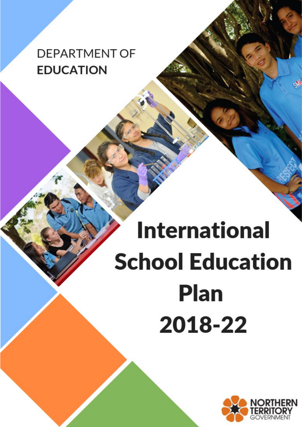## **DEPARTMENT OF EDUCATION**

# **International School Education Plan** 2018-22

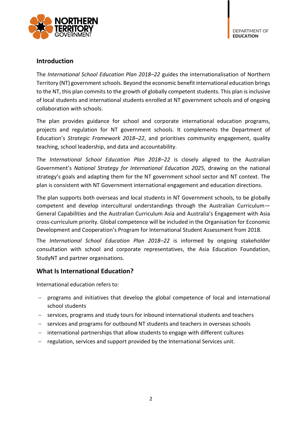

#### **Introduction**

The *International School Education Plan 2018–22* guides the internationalisation of Northern Territory (NT) government schools. Beyond the economic benefit international education brings to the NT, this plan commits to the growth of globally competent students. This plan is inclusive of local students and international students enrolled at NT government schools and of ongoing collaboration with schools.

The plan provides guidance for school and corporate international education programs, projects and regulation for NT government schools. It complements the Department of Education's *Strategic Framework 2018–22*, and prioritises community engagement, quality teaching, school leadership, and data and accountability.

The *International School Education Plan 2018–22* is closely aligned to the Australian Government's *National Strategy for International Education 2025,* drawing on the national strategy's goals and adapting them for the NT government school sector and NT context. The plan is consistent with NT Government international engagement and education directions.

The plan supports both overseas and local students in NT Government schools, to be globally competent and develop intercultural understandings through the Australian Curriculum— General Capabilities and the Australian Curriculum Asia and Australia's Engagement with Asia cross-curriculum priority. Global competence will be included in the Organisation for Economic Development and Cooperation's Program for International Student Assessment from 2018.

The *International School Education Plan 2018–22* is informed by ongoing stakeholder consultation with school and corporate representatives, the Asia Education Foundation, StudyNT and partner organisations.

#### **What Is International Education?**

International education refers to:

- programs and initiatives that develop the global competence of local and international school students
- services, programs and study tours for inbound international students and teachers
- services and programs for outbound NT students and teachers in overseas schools
- international partnerships that allow students to engage with different cultures
- $-$  regulation, services and support provided by the International Services unit.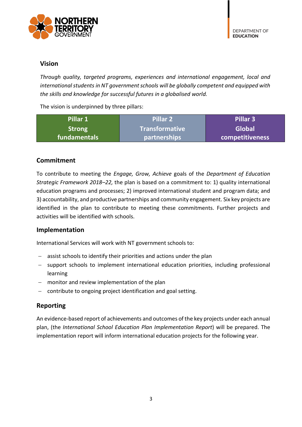

#### **Vision**

*Through quality, targeted programs, experiences and international engagement, local and international students in NT government schools will be globally competent and equipped with the skills and knowledge for successful futures in a globalised world.*

The vision is underpinned by three pillars:

| Pillar 1      | Pillar 2            | Pillar 3        |
|---------------|---------------------|-----------------|
| <b>Strong</b> | I Transformative    | <b>Global</b>   |
| fundamentals  | <b>partnerships</b> | competitiveness |

#### **Commitment**

To contribute to meeting the *Engage, Grow, Achieve* goals of the *Department of Education Strategic Framework 2018–22,* the plan is based on a commitment to: 1) quality international education programs and processes; 2) improved international student and program data; and 3) accountability, and productive partnerships and community engagement. Six key projects are identified in the plan to contribute to meeting these commitments. Further projects and activities will be identified with schools.

#### **Implementation**

International Services will work with NT government schools to:

- assist schools to identify their priorities and actions under the plan
- support schools to implement international education priorities, including professional learning
- monitor and review implementation of the plan
- contribute to ongoing project identification and goal setting.

#### **Reporting**

An evidence-based report of achievements and outcomes of the key projects under each annual plan, (the *International School Education Plan Implementation Report*) will be prepared. The implementation report will inform international education projects for the following year.